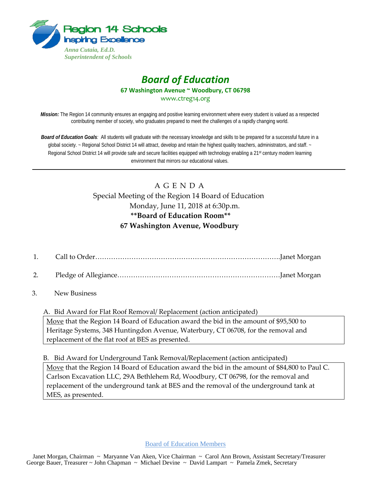

## *Board of Education* **67 Washington Avenue ~ Woodbury, CT 06798** www.ctreg14.org

*Mission:* The Region 14 community ensures an engaging and positive learning environment where every student is valued as a respected contributing member of society, who graduates prepared to meet the challenges of a rapidly changing world.

*Board of Education Goals:* All students will graduate with the necessary knowledge and skills to be prepared for a successful future in a global society. ~ Regional School District 14 will attract, develop and retain the highest quality teachers, administrators, and staff. ~ Regional School District 14 will provide safe and secure facilities equipped with technology enabling a 21<sup>st</sup> century modern learning environment that mirrors our educational values.

## A G E N D A Special Meeting of the Region 14 Board of Education Monday, June 11, 2018 at 6:30p.m. **\*\*Board of Education Room\*\* 67 Washington Avenue, Woodbury**

- 1. Call to Order……………………………………………………………………….Janet Morgan
- 2. Pledge of Allegiance………………………………………………………………Janet Morgan
- 3. New Business

A. Bid Award for Flat Roof Removal/ Replacement (action anticipated) Move that the Region 14 Board of Education award the bid in the amount of \$95,500 to Heritage Systems, 348 Huntingdon Avenue, Waterbury, CT 06708, for the removal and replacement of the flat roof at BES as presented.

B. Bid Award for Underground Tank Removal/Replacement (action anticipated) Move that the Region 14 Board of Education award the bid in the amount of \$84,800 to Paul C. Carlson Excavation LLC, 29A Bethlehem Rd, Woodbury, CT 06798, for the removal and replacement of the underground tank at BES and the removal of the underground tank at MES, as presented.

Board of Education Members